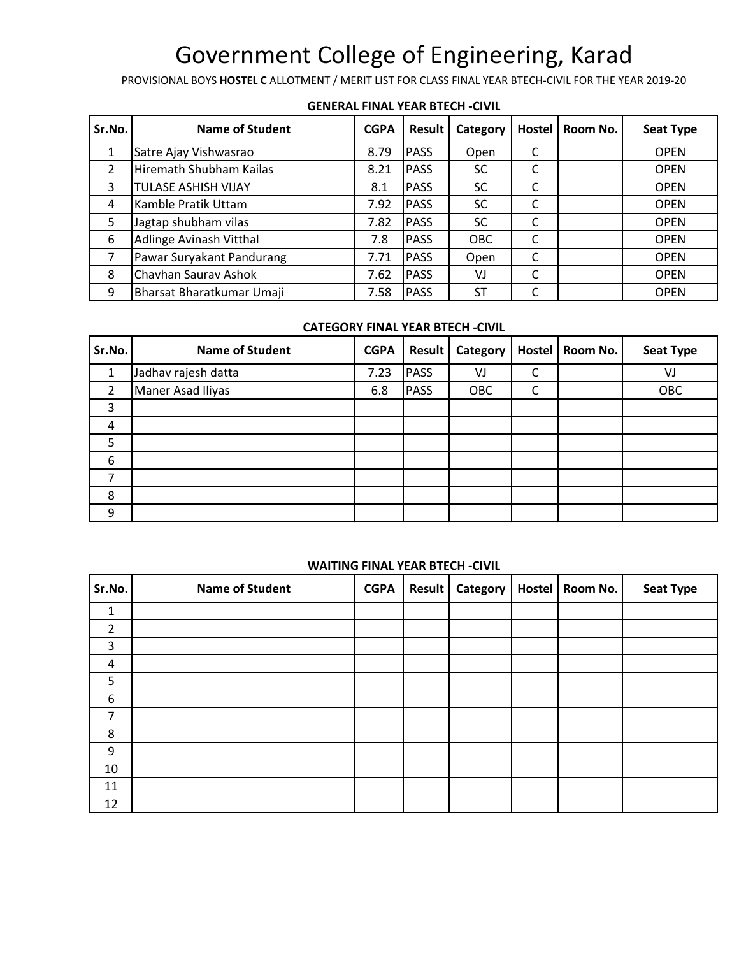PROVISIONAL BOYS **HOSTEL C** ALLOTMENT / MERIT LIST FOR CLASS FINAL YEAR BTECH-CIVIL FOR THE YEAR 2019-20

| Sr.No.         | Name of Student            | <b>CGPA</b> | <b>Result</b> | Category  | Hostel | Room No. | <b>Seat Type</b> |
|----------------|----------------------------|-------------|---------------|-----------|--------|----------|------------------|
|                | Satre Ajay Vishwasrao      | 8.79        | <b>PASS</b>   | Open      |        |          | <b>OPEN</b>      |
| $\overline{2}$ | Hiremath Shubham Kailas    | 8.21        | <b>PASS</b>   | <b>SC</b> |        |          | <b>OPEN</b>      |
| 3              | <b>TULASE ASHISH VIJAY</b> | 8.1         | <b>PASS</b>   | <b>SC</b> |        |          | <b>OPEN</b>      |
| 4              | Kamble Pratik Uttam        | 7.92        | <b>PASS</b>   | <b>SC</b> |        |          | <b>OPEN</b>      |
| 5              | Jagtap shubham vilas       | 7.82        | <b>PASS</b>   | <b>SC</b> |        |          | <b>OPEN</b>      |
| 6              | Adlinge Avinash Vitthal    | 7.8         | <b>PASS</b>   | OBC       |        |          | <b>OPEN</b>      |
|                | Pawar Suryakant Pandurang  | 7.71        | <b>PASS</b>   | Open      |        |          | <b>OPEN</b>      |
| 8              | Chavhan Saurav Ashok       | 7.62        | <b>PASS</b>   | VJ        |        |          | <b>OPEN</b>      |
| 9              | Bharsat Bharatkumar Umaji  | 7.58        | <b>PASS</b>   | <b>ST</b> |        |          | <b>OPEN</b>      |

#### **GENERAL FINAL YEAR BTECH -CIVIL**

### **CATEGORY FINAL YEAR BTECH -CIVIL**

| Sr.No.         | <b>Name of Student</b> | <b>CGPA</b> | <b>Result</b> | <b>Category</b> | Hostel   Room No. | <b>Seat Type</b> |
|----------------|------------------------|-------------|---------------|-----------------|-------------------|------------------|
|                | Jadhav rajesh datta    | 7.23        | <b>PASS</b>   | VJ              |                   | VJ               |
| $\overline{2}$ | Maner Asad Iliyas      | 6.8         | <b>PASS</b>   | OBC             |                   | OBC              |
| 3              |                        |             |               |                 |                   |                  |
| 4              |                        |             |               |                 |                   |                  |
| 5              |                        |             |               |                 |                   |                  |
| 6              |                        |             |               |                 |                   |                  |
| 7              |                        |             |               |                 |                   |                  |
| 8              |                        |             |               |                 |                   |                  |
| 9              |                        |             |               |                 |                   |                  |

#### **WAITING FINAL YEAR BTECH -CIVIL**

| Sr.No.         | <b>Name of Student</b> | <b>CGPA</b> | <b>Result</b> | Category | Hostel   Room No. | <b>Seat Type</b> |
|----------------|------------------------|-------------|---------------|----------|-------------------|------------------|
| 1              |                        |             |               |          |                   |                  |
| $\overline{2}$ |                        |             |               |          |                   |                  |
| 3              |                        |             |               |          |                   |                  |
| 4              |                        |             |               |          |                   |                  |
| 5              |                        |             |               |          |                   |                  |
| 6              |                        |             |               |          |                   |                  |
| $\overline{7}$ |                        |             |               |          |                   |                  |
| 8              |                        |             |               |          |                   |                  |
| 9              |                        |             |               |          |                   |                  |
| 10             |                        |             |               |          |                   |                  |
| 11             |                        |             |               |          |                   |                  |
| 12             |                        |             |               |          |                   |                  |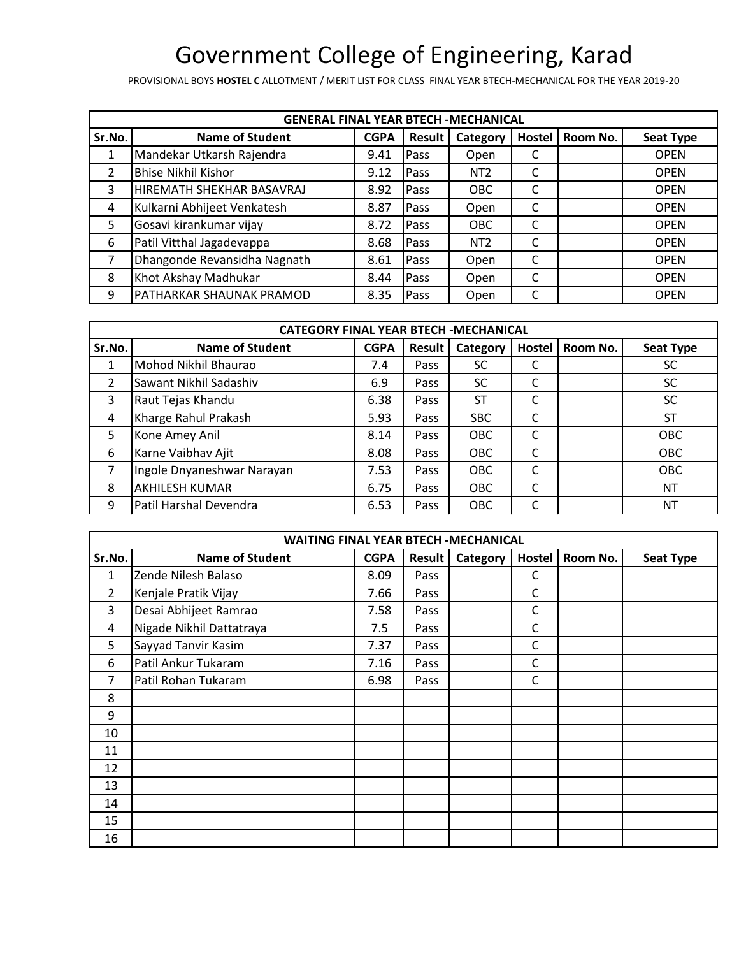PROVISIONAL BOYS **HOSTEL C** ALLOTMENT / MERIT LIST FOR CLASS FINAL YEAR BTECH-MECHANICAL FOR THE YEAR 2019-20

|        | <b>GENERAL FINAL YEAR BTECH - MECHANICAL</b> |             |              |                 |        |          |                  |  |  |  |  |
|--------|----------------------------------------------|-------------|--------------|-----------------|--------|----------|------------------|--|--|--|--|
| Sr.No. | <b>Name of Student</b>                       | <b>CGPA</b> | Result       | Category        | Hostel | Room No. | <b>Seat Type</b> |  |  |  |  |
|        | Mandekar Utkarsh Rajendra                    | 9.41        | Pass         | Open            |        |          | <b>OPEN</b>      |  |  |  |  |
| 2      | <b>Bhise Nikhil Kishor</b>                   | 9.12        | Pass         | NT <sub>2</sub> |        |          | <b>OPEN</b>      |  |  |  |  |
| 3      | HIREMATH SHEKHAR BASAVRAJ                    | 8.92        | Pass         | <b>OBC</b>      | C      |          | <b>OPEN</b>      |  |  |  |  |
| 4      | Kulkarni Abhijeet Venkatesh                  | 8.87        | <b>IPass</b> | Open            | C      |          | <b>OPEN</b>      |  |  |  |  |
| 5.     | Gosavi kirankumar vijay                      | 8.72        | Pass         | <b>OBC</b>      |        |          | <b>OPEN</b>      |  |  |  |  |
| 6      | Patil Vitthal Jagadevappa                    | 8.68        | <b>Pass</b>  | NT <sub>2</sub> |        |          | <b>OPEN</b>      |  |  |  |  |
| 7      | Dhangonde Revansidha Nagnath                 | 8.61        | Pass         | Open            | C      |          | <b>OPEN</b>      |  |  |  |  |
| 8      | Khot Akshay Madhukar                         | 8.44        | <b>Pass</b>  | Open            | C      |          | <b>OPEN</b>      |  |  |  |  |
| 9      | PATHARKAR SHAUNAK PRAMOD                     | 8.35        | Pass         | Open            | С      |          | <b>OPEN</b>      |  |  |  |  |

| <b>CATEGORY FINAL YEAR BTECH -MECHANICAL</b> |                            |             |        |            |        |          |                  |  |  |  |
|----------------------------------------------|----------------------------|-------------|--------|------------|--------|----------|------------------|--|--|--|
| Sr.No.                                       | <b>Name of Student</b>     | <b>CGPA</b> | Result | Category   | Hostel | Room No. | <b>Seat Type</b> |  |  |  |
|                                              | Mohod Nikhil Bhaurao       | 7.4         | Pass   | SC         |        |          | SC               |  |  |  |
| 2                                            | Sawant Nikhil Sadashiv     | 6.9         | Pass   | <b>SC</b>  | C      |          | SC               |  |  |  |
| 3                                            | Raut Tejas Khandu          | 6.38        | Pass   | <b>ST</b>  | C      |          | SC               |  |  |  |
| 4                                            | Kharge Rahul Prakash       | 5.93        | Pass   | <b>SBC</b> | C      |          | ST               |  |  |  |
| 5                                            | Kone Amey Anil             | 8.14        | Pass   | OBC        | C      |          | <b>OBC</b>       |  |  |  |
| 6                                            | Karne Vaibhav Ajit         | 8.08        | Pass   | OBC        | C      |          | <b>OBC</b>       |  |  |  |
| 7                                            | Ingole Dnyaneshwar Narayan | 7.53        | Pass   | <b>OBC</b> | C      |          | <b>OBC</b>       |  |  |  |
| 8                                            | <b>AKHILESH KUMAR</b>      | 6.75        | Pass   | OBC        | C      |          | <b>NT</b>        |  |  |  |
| 9                                            | Patil Harshal Devendra     | 6.53        | Pass   | <b>OBC</b> | C      |          | NΤ               |  |  |  |

|                | <b>WAITING FINAL YEAR BTECH -MECHANICAL</b> |             |               |          |        |          |                  |  |  |  |  |
|----------------|---------------------------------------------|-------------|---------------|----------|--------|----------|------------------|--|--|--|--|
| Sr.No.         | <b>Name of Student</b>                      | <b>CGPA</b> | <b>Result</b> | Category | Hostel | Room No. | <b>Seat Type</b> |  |  |  |  |
| $\mathbf{1}$   | Zende Nilesh Balaso                         | 8.09        | Pass          |          | C      |          |                  |  |  |  |  |
| $\overline{2}$ | Kenjale Pratik Vijay                        | 7.66        | Pass          |          | С      |          |                  |  |  |  |  |
| 3              | Desai Abhijeet Ramrao                       | 7.58        | Pass          |          | С      |          |                  |  |  |  |  |
| 4              | Nigade Nikhil Dattatraya                    | 7.5         | Pass          |          | C      |          |                  |  |  |  |  |
| 5              | Sayyad Tanvir Kasim                         | 7.37        | Pass          |          | C      |          |                  |  |  |  |  |
| 6              | Patil Ankur Tukaram                         | 7.16        | Pass          |          | С      |          |                  |  |  |  |  |
| 7              | Patil Rohan Tukaram                         | 6.98        | Pass          |          | С      |          |                  |  |  |  |  |
| 8              |                                             |             |               |          |        |          |                  |  |  |  |  |
| 9              |                                             |             |               |          |        |          |                  |  |  |  |  |
| 10             |                                             |             |               |          |        |          |                  |  |  |  |  |
| 11             |                                             |             |               |          |        |          |                  |  |  |  |  |
| 12             |                                             |             |               |          |        |          |                  |  |  |  |  |
| 13             |                                             |             |               |          |        |          |                  |  |  |  |  |
| 14             |                                             |             |               |          |        |          |                  |  |  |  |  |
| 15             |                                             |             |               |          |        |          |                  |  |  |  |  |
| 16             |                                             |             |               |          |        |          |                  |  |  |  |  |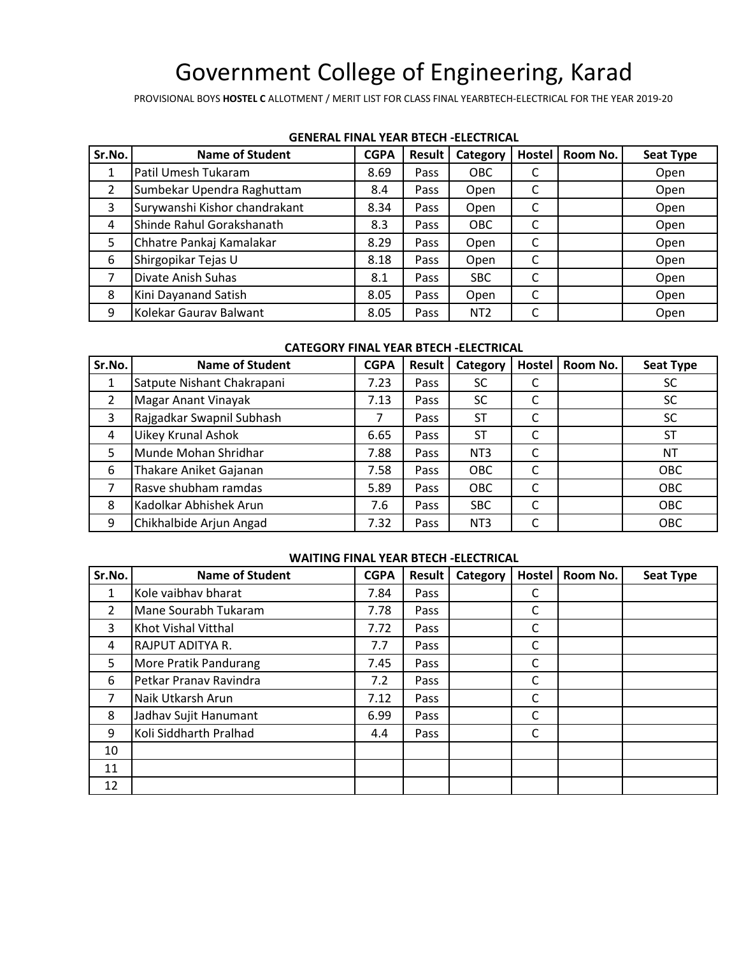PROVISIONAL BOYS **HOSTEL C** ALLOTMENT / MERIT LIST FOR CLASS FINAL YEARBTECH-ELECTRICAL FOR THE YEAR 2019-20

| Sr.No. | <b>Name of Student</b>        | <b>CGPA</b> | <b>Result</b> | Category        | Hostel | Room No. | <b>Seat Type</b> |
|--------|-------------------------------|-------------|---------------|-----------------|--------|----------|------------------|
|        | Patil Umesh Tukaram           | 8.69        | Pass          | <b>OBC</b>      | J      |          | Open             |
| 2      | Sumbekar Upendra Raghuttam    | 8.4         | Pass          | Open            | C      |          | Open             |
| 3      | Surywanshi Kishor chandrakant | 8.34        | Pass          | Open            | C      |          | Open             |
| 4      | Shinde Rahul Gorakshanath     | 8.3         | Pass          | OBC             | C      |          | Open             |
| 5      | Chhatre Pankaj Kamalakar      | 8.29        | Pass          | Open            | C      |          | Open             |
| 6      | Shirgopikar Tejas U           | 8.18        | Pass          | Open            | C      |          | Open             |
| 7      | Divate Anish Suhas            | 8.1         | Pass          | <b>SBC</b>      | C      |          | Open             |
| 8      | Kini Dayanand Satish          | 8.05        | Pass          | Open            | C      |          | Open             |
| 9      | Kolekar Gaurav Balwant        | 8.05        | Pass          | NT <sub>2</sub> | C      |          | Open             |

#### **GENERAL FINAL YEAR BTECH -ELECTRICAL**

#### **CATEGORY FINAL YEAR BTECH -ELECTRICAL**

| Sr.No. | <b>Name of Student</b>     | <b>CGPA</b> | <b>Result</b> | Category        | Hostel | Room No. | <b>Seat Type</b> |
|--------|----------------------------|-------------|---------------|-----------------|--------|----------|------------------|
| 1      | Satpute Nishant Chakrapani | 7.23        | Pass          | <b>SC</b>       |        |          | SC               |
| 2      | <b>Magar Anant Vinayak</b> | 7.13        | Pass          | <b>SC</b>       | J      |          | <b>SC</b>        |
| 3      | Rajgadkar Swapnil Subhash  |             | Pass          | <b>ST</b>       | C      |          | <b>SC</b>        |
| 4      | <b>Uikey Krunal Ashok</b>  | 6.65        | Pass          | ST              |        |          | SΤ               |
| 5      | Munde Mohan Shridhar       | 7.88        | Pass          | NT <sub>3</sub> | Ć      |          | <b>NT</b>        |
| 6      | Thakare Aniket Gajanan     | 7.58        | Pass          | OBC             | C      |          | OBC              |
|        | Rasve shubham ramdas       | 5.89        | Pass          | OBC             | C      |          | <b>OBC</b>       |
| 8      | Kadolkar Abhishek Arun     | 7.6         | Pass          | <b>SBC</b>      | C      |          | OBC              |
| 9      | Chikhalbide Arjun Angad    | 7.32        | Pass          | NT <sub>3</sub> |        |          | OBC              |

#### **WAITING FINAL YEAR BTECH -ELECTRICAL**

| Sr.No.         | <b>Name of Student</b> | <b>CGPA</b> | <b>Result</b> | Category | <b>Hostel</b> | Room No. | <b>Seat Type</b> |
|----------------|------------------------|-------------|---------------|----------|---------------|----------|------------------|
| $\mathbf{1}$   | Kole vaibhav bharat    | 7.84        | Pass          |          |               |          |                  |
| $\overline{2}$ | Mane Sourabh Tukaram   | 7.78        | Pass          |          | C             |          |                  |
| 3              | Khot Vishal Vitthal    | 7.72        | Pass          |          | C             |          |                  |
| 4              | RAJPUT ADITYA R.       | 7.7         | Pass          |          | С             |          |                  |
| 5              | More Pratik Pandurang  | 7.45        | Pass          |          | С             |          |                  |
| 6              | Petkar Pranav Ravindra | 7.2         | Pass          |          | С             |          |                  |
| 7              | Naik Utkarsh Arun      | 7.12        | Pass          |          | С             |          |                  |
| 8              | Jadhav Sujit Hanumant  | 6.99        | Pass          |          | С             |          |                  |
| 9              | Koli Siddharth Pralhad | 4.4         | Pass          |          | С             |          |                  |
| 10             |                        |             |               |          |               |          |                  |
| 11             |                        |             |               |          |               |          |                  |
| 12             |                        |             |               |          |               |          |                  |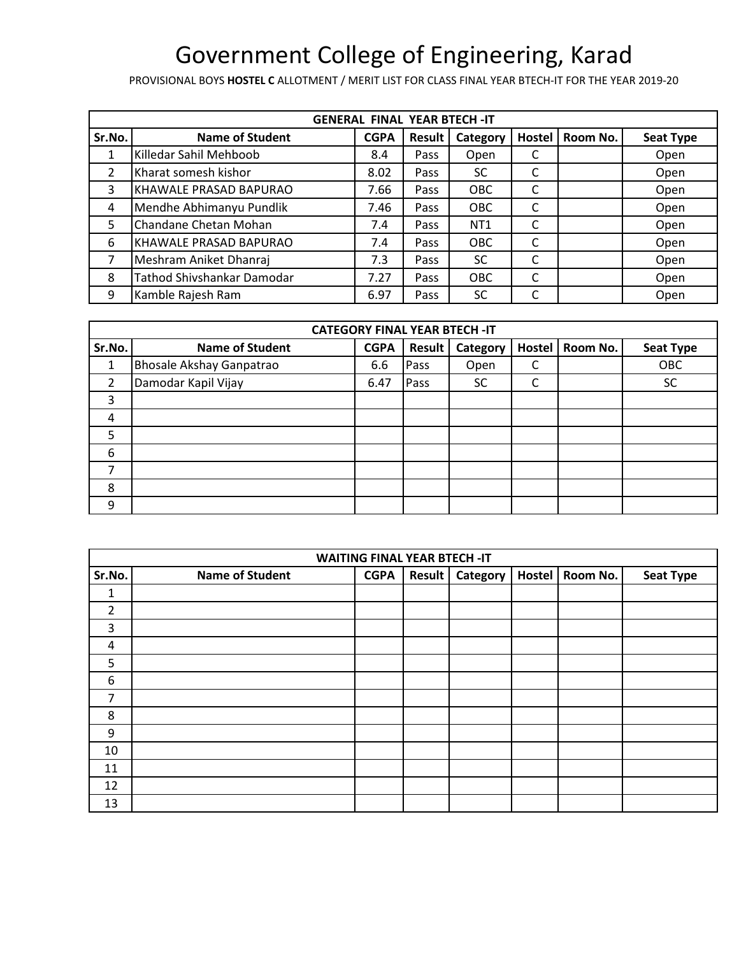PROVISIONAL BOYS **HOSTEL C** ALLOTMENT / MERIT LIST FOR CLASS FINAL YEAR BTECH-IT FOR THE YEAR 2019-20

|                | <b>GENERAL FINAL YEAR BTECH-IT</b> |             |               |                 |               |          |                  |  |  |  |  |
|----------------|------------------------------------|-------------|---------------|-----------------|---------------|----------|------------------|--|--|--|--|
| Sr.No.         | <b>Name of Student</b>             | <b>CGPA</b> | <b>Result</b> | Category        | <b>Hostel</b> | Room No. | <b>Seat Type</b> |  |  |  |  |
|                | Killedar Sahil Mehboob             | 8.4         | Pass          | Open            |               |          | Open             |  |  |  |  |
| $\overline{2}$ | Kharat somesh kishor               | 8.02        | Pass          | <b>SC</b>       | C             |          | Open             |  |  |  |  |
| 3              | KHAWALE PRASAD BAPURAO             | 7.66        | Pass          | OBC             | C             |          | Open             |  |  |  |  |
| 4              | Mendhe Abhimanyu Pundlik           | 7.46        | Pass          | OBC             |               |          | Open             |  |  |  |  |
| 5              | Chandane Chetan Mohan              | 7.4         | Pass          | NT <sub>1</sub> | C             |          | Open             |  |  |  |  |
| 6              | KHAWALE PRASAD BAPURAO             | 7.4         | Pass          | OBC             | C             |          | Open             |  |  |  |  |
|                | Meshram Aniket Dhanraj             | 7.3         | Pass          | <b>SC</b>       | C             |          | Open             |  |  |  |  |
| 8              | Tathod Shivshankar Damodar         | 7.27        | Pass          | <b>OBC</b>      | C             |          | Open             |  |  |  |  |
| 9              | Kamble Rajesh Ram                  | 6.97        | Pass          | SC              | C             |          | Open             |  |  |  |  |

|                | <b>CATEGORY FINAL YEAR BTECH -IT</b> |             |        |           |        |          |                  |  |  |  |  |
|----------------|--------------------------------------|-------------|--------|-----------|--------|----------|------------------|--|--|--|--|
| Sr.No.         | <b>Name of Student</b>               | <b>CGPA</b> | Result | Category  | Hostel | Room No. | <b>Seat Type</b> |  |  |  |  |
| 1              | <b>Bhosale Akshay Ganpatrao</b>      | 6.6         | Pass   | Open      | C      |          | OBC              |  |  |  |  |
| $\overline{2}$ | Damodar Kapil Vijay                  | 6.47        | Pass   | <b>SC</b> | r      |          | <b>SC</b>        |  |  |  |  |
| 3              |                                      |             |        |           |        |          |                  |  |  |  |  |
| 4              |                                      |             |        |           |        |          |                  |  |  |  |  |
| 5              |                                      |             |        |           |        |          |                  |  |  |  |  |
| 6              |                                      |             |        |           |        |          |                  |  |  |  |  |
| 7              |                                      |             |        |           |        |          |                  |  |  |  |  |
| 8              |                                      |             |        |           |        |          |                  |  |  |  |  |
| 9              |                                      |             |        |           |        |          |                  |  |  |  |  |

|                | <b>WAITING FINAL YEAR BTECH-IT</b> |             |               |          |        |          |                  |  |  |  |  |
|----------------|------------------------------------|-------------|---------------|----------|--------|----------|------------------|--|--|--|--|
| Sr.No.         | <b>Name of Student</b>             | <b>CGPA</b> | <b>Result</b> | Category | Hostel | Room No. | <b>Seat Type</b> |  |  |  |  |
| 1              |                                    |             |               |          |        |          |                  |  |  |  |  |
| $\overline{2}$ |                                    |             |               |          |        |          |                  |  |  |  |  |
| 3              |                                    |             |               |          |        |          |                  |  |  |  |  |
| $\overline{a}$ |                                    |             |               |          |        |          |                  |  |  |  |  |
| 5              |                                    |             |               |          |        |          |                  |  |  |  |  |
| 6              |                                    |             |               |          |        |          |                  |  |  |  |  |
| 7              |                                    |             |               |          |        |          |                  |  |  |  |  |
| 8              |                                    |             |               |          |        |          |                  |  |  |  |  |
| 9              |                                    |             |               |          |        |          |                  |  |  |  |  |
| 10             |                                    |             |               |          |        |          |                  |  |  |  |  |
| 11             |                                    |             |               |          |        |          |                  |  |  |  |  |
| 12             |                                    |             |               |          |        |          |                  |  |  |  |  |
| 13             |                                    |             |               |          |        |          |                  |  |  |  |  |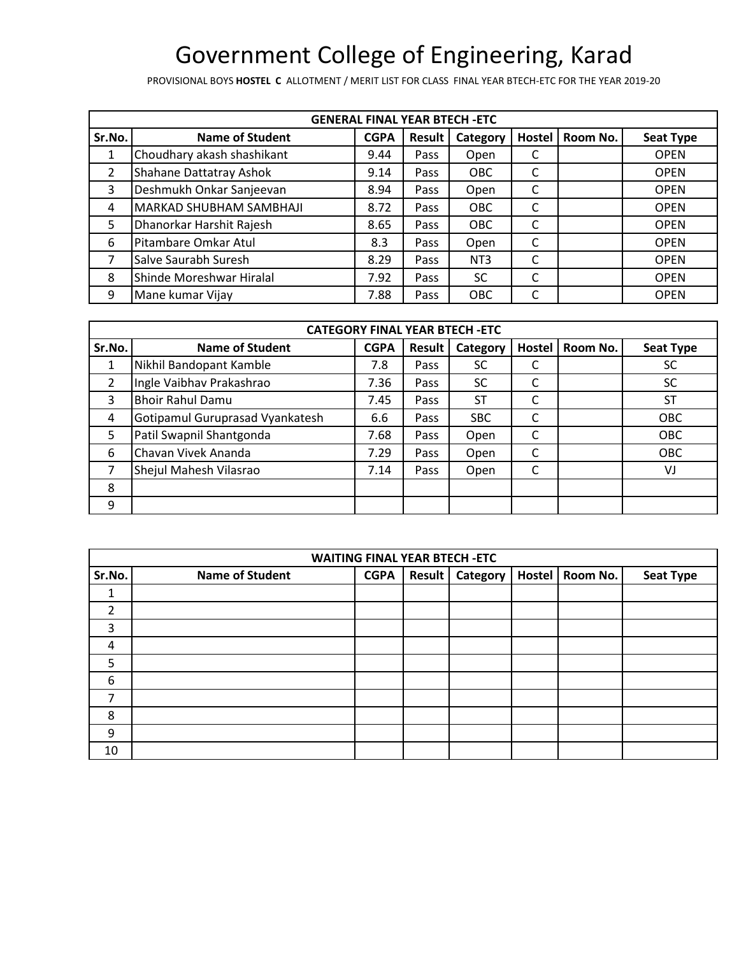PROVISIONAL BOYS **HOSTEL C** ALLOTMENT / MERIT LIST FOR CLASS FINAL YEAR BTECH-ETC FOR THE YEAR 2019-20

| <b>GENERAL FINAL YEAR BTECH -ETC</b> |                            |             |               |                 |        |          |                  |  |
|--------------------------------------|----------------------------|-------------|---------------|-----------------|--------|----------|------------------|--|
| Sr.No.                               | <b>Name of Student</b>     | <b>CGPA</b> | <b>Result</b> | Category        | Hostel | Room No. | <b>Seat Type</b> |  |
|                                      | Choudhary akash shashikant | 9.44        | Pass          | Open            |        |          | <b>OPEN</b>      |  |
| 2                                    | Shahane Dattatray Ashok    | 9.14        | Pass          | <b>OBC</b>      | C      |          | <b>OPEN</b>      |  |
| 3                                    | Deshmukh Onkar Sanjeevan   | 8.94        | Pass          | Open            |        |          | <b>OPEN</b>      |  |
| 4                                    | MARKAD SHUBHAM SAMBHAJI    | 8.72        | Pass          | <b>OBC</b>      | C      |          | <b>OPEN</b>      |  |
| 5                                    | Dhanorkar Harshit Rajesh   | 8.65        | Pass          | OBC             |        |          | <b>OPEN</b>      |  |
| 6                                    | Pitambare Omkar Atul       | 8.3         | Pass          | Open            | C      |          | <b>OPEN</b>      |  |
|                                      | Salve Saurabh Suresh       | 8.29        | Pass          | NT <sub>3</sub> |        |          | <b>OPEN</b>      |  |
| 8                                    | Shinde Moreshwar Hiralal   | 7.92        | Pass          | <b>SC</b>       |        |          | <b>OPEN</b>      |  |
| 9                                    | Mane kumar Vijay           | 7.88        | Pass          | OBC             |        |          | <b>OPEN</b>      |  |

| <b>CATEGORY FINAL YEAR BTECH -ETC</b> |                                 |             |        |            |               |          |                  |
|---------------------------------------|---------------------------------|-------------|--------|------------|---------------|----------|------------------|
| Sr.No.                                | <b>Name of Student</b>          | <b>CGPA</b> | Result | Category   | <b>Hostel</b> | Room No. | <b>Seat Type</b> |
|                                       | Nikhil Bandopant Kamble         | 7.8         | Pass   | SC         |               |          | SC               |
| $\overline{2}$                        | Ingle Vaibhav Prakashrao        | 7.36        | Pass   | <b>SC</b>  | Ċ             |          | SC               |
| 3                                     | <b>Bhoir Rahul Damu</b>         | 7.45        | Pass   | <b>ST</b>  | ┌             |          | <b>ST</b>        |
| 4                                     | Gotipamul Guruprasad Vyankatesh | 6.6         | Pass   | <b>SBC</b> | ┌             |          | <b>OBC</b>       |
| 5                                     | Patil Swapnil Shantgonda        | 7.68        | Pass   | Open       | C             |          | <b>OBC</b>       |
| 6                                     | Chavan Vivek Ananda             | 7.29        | Pass   | Open       | ⌒             |          | OBC              |
|                                       | Shejul Mahesh Vilasrao          | 7.14        | Pass   | Open       |               |          | VJ               |
| 8                                     |                                 |             |        |            |               |          |                  |
| 9                                     |                                 |             |        |            |               |          |                  |

| <b>WAITING FINAL YEAR BTECH -ETC</b> |                        |             |        |                 |        |          |                  |
|--------------------------------------|------------------------|-------------|--------|-----------------|--------|----------|------------------|
| Sr.No.                               | <b>Name of Student</b> | <b>CGPA</b> | Result | <b>Category</b> | Hostel | Room No. | <b>Seat Type</b> |
| 1                                    |                        |             |        |                 |        |          |                  |
| $\overline{2}$                       |                        |             |        |                 |        |          |                  |
| 3                                    |                        |             |        |                 |        |          |                  |
| 4                                    |                        |             |        |                 |        |          |                  |
| 5                                    |                        |             |        |                 |        |          |                  |
| 6                                    |                        |             |        |                 |        |          |                  |
| 7                                    |                        |             |        |                 |        |          |                  |
| 8                                    |                        |             |        |                 |        |          |                  |
| 9                                    |                        |             |        |                 |        |          |                  |
| 10                                   |                        |             |        |                 |        |          |                  |